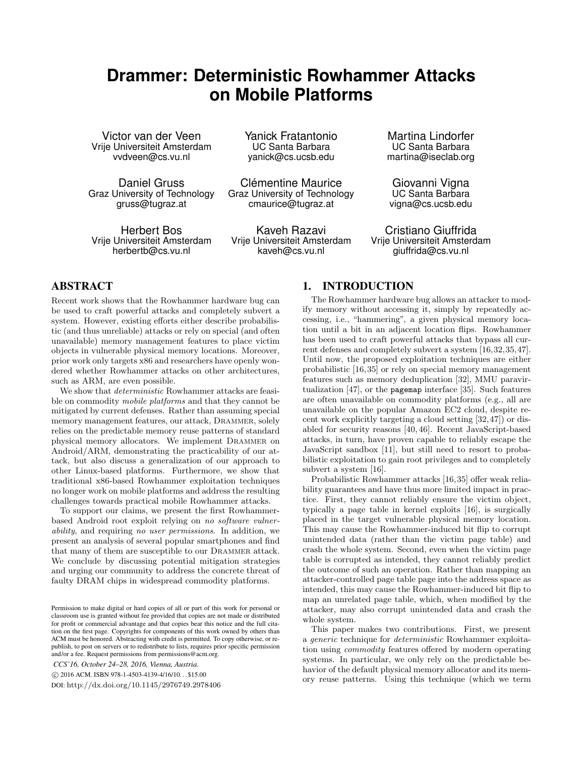# **Drammer: Deterministic Rowhammer Attacks on Mobile Platforms**

Victor van der Veen Vrije Universiteit Amsterdam vvdveen@cs.vu.nl

Daniel Gruss Graz University of Technology gruss@tugraz.at

Herbert Bos Vrije Universiteit Amsterdam herbertb@cs.vu.nl

Yanick Fratantonio UC Santa Barbara yanick@cs.ucsb.edu

Clémentine Maurice Graz University of Technology cmaurice@tugraz.at

Kaveh Razavi Vrije Universiteit Amsterdam kaveh@cs.vu.nl

Martina Lindorfer UC Santa Barbara martina@iseclab.org

Giovanni Vigna UC Santa Barbara vigna@cs.ucsb.edu

Cristiano Giuffrida Vrije Universiteit Amsterdam giuffrida@cs.vu.nl

# **ABSTRACT**

Recent work shows that the Rowhammer hardware bug can be used to craft powerful attacks and completely subvert a system. However, existing efforts either describe probabilistic (and thus unreliable) attacks or rely on special (and often unavailable) memory management features to place victim objects in vulnerable physical memory locations. Moreover, prior work only targets x86 and researchers have openly wondered whether Rowhammer attacks on other architectures, such as ARM, are even possible.

We show that *deterministic* Rowhammer attacks are feasible on commodity mobile platforms and that they cannot be mitigated by current defenses. Rather than assuming special memory management features, our attack, Drammer, solely relies on the predictable memory reuse patterns of standard physical memory allocators. We implement Drammer on Android/ARM, demonstrating the practicability of our attack, but also discuss a generalization of our approach to other Linux-based platforms. Furthermore, we show that traditional x86-based Rowhammer exploitation techniques no longer work on mobile platforms and address the resulting challenges towards practical mobile Rowhammer attacks.

To support our claims, we present the first Rowhammerbased Android root exploit relying on no software vulnerability, and requiring no user permissions. In addition, we present an analysis of several popular smartphones and find that many of them are susceptible to our Drammer attack. We conclude by discussing potential mitigation strategies and urging our community to address the concrete threat of faulty DRAM chips in widespread commodity platforms.

*CCS'16, October 24–28, 2016, Vienna, Austria.*

c 2016 ACM. ISBN 978-1-4503-4139-4/16/10. . . \$15.00

DOI: http://dx.doi.org/10.1145/2976749.2978406

# 1. INTRODUCTION

The Rowhammer hardware bug allows an attacker to modify memory without accessing it, simply by repeatedly accessing, i.e., "hammering", a given physical memory location until a bit in an adjacent location flips. Rowhammer has been used to craft powerful attacks that bypass all current defenses and completely subvert a system [16,32,35,47]. Until now, the proposed exploitation techniques are either probabilistic [16,35] or rely on special memory management features such as memory deduplication [32], MMU paravirtualization [47], or the pagemap interface [35]. Such features are often unavailable on commodity platforms (e.g., all are unavailable on the popular Amazon EC2 cloud, despite recent work explicitly targeting a cloud setting [32,47]) or disabled for security reasons [40, 46]. Recent JavaScript-based attacks, in turn, have proven capable to reliably escape the JavaScript sandbox [11], but still need to resort to probabilistic exploitation to gain root privileges and to completely subvert a system [16].

Probabilistic Rowhammer attacks [16,35] offer weak reliability guarantees and have thus more limited impact in practice. First, they cannot reliably ensure the victim object, typically a page table in kernel exploits [16], is surgically placed in the target vulnerable physical memory location. This may cause the Rowhammer-induced bit flip to corrupt unintended data (rather than the victim page table) and crash the whole system. Second, even when the victim page table is corrupted as intended, they cannot reliably predict the outcome of such an operation. Rather than mapping an attacker-controlled page table page into the address space as intended, this may cause the Rowhammer-induced bit flip to map an unrelated page table, which, when modified by the attacker, may also corrupt unintended data and crash the whole system.

This paper makes two contributions. First, we present a generic technique for deterministic Rowhammer exploitation using commodity features offered by modern operating systems. In particular, we only rely on the predictable behavior of the default physical memory allocator and its memory reuse patterns. Using this technique (which we term

Permission to make digital or hard copies of all or part of this work for personal or classroom use is granted without fee provided that copies are not made or distributed for profit or commercial advantage and that copies bear this notice and the full citation on the first page. Copyrights for components of this work owned by others than ACM must be honored. Abstracting with credit is permitted. To copy otherwise, or republish, to post on servers or to redistribute to lists, requires prior specific permission and/or a fee. Request permissions from permissions@acm.org.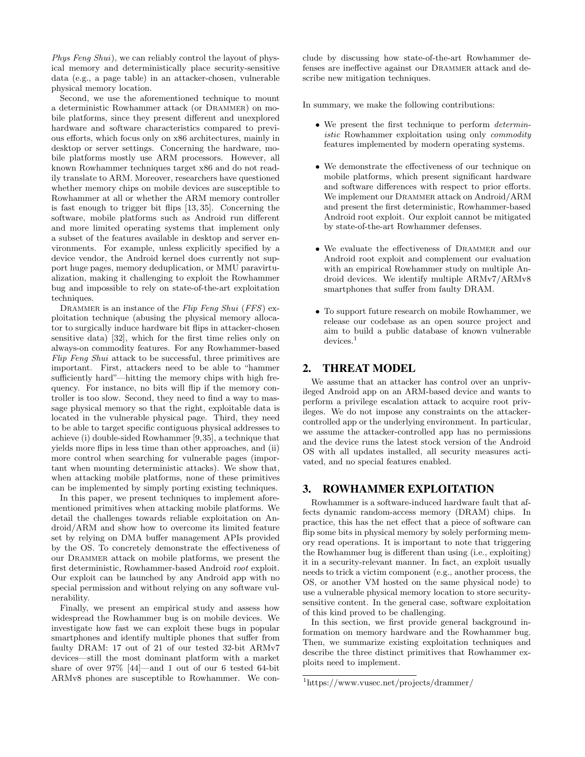Phys Feng Shui), we can reliably control the layout of physical memory and deterministically place security-sensitive data (e.g., a page table) in an attacker-chosen, vulnerable physical memory location.

Second, we use the aforementioned technique to mount a deterministic Rowhammer attack (or Drammer) on mobile platforms, since they present different and unexplored hardware and software characteristics compared to previous efforts, which focus only on x86 architectures, mainly in desktop or server settings. Concerning the hardware, mobile platforms mostly use ARM processors. However, all known Rowhammer techniques target x86 and do not readily translate to ARM. Moreover, researchers have questioned whether memory chips on mobile devices are susceptible to Rowhammer at all or whether the ARM memory controller is fast enough to trigger bit flips [13, 35]. Concerning the software, mobile platforms such as Android run different and more limited operating systems that implement only a subset of the features available in desktop and server environments. For example, unless explicitly specified by a device vendor, the Android kernel does currently not support huge pages, memory deduplication, or MMU paravirtualization, making it challenging to exploit the Rowhammer bug and impossible to rely on state-of-the-art exploitation techniques.

DRAMMER is an instance of the Flip Feng Shui (FFS) exploitation technique (abusing the physical memory allocator to surgically induce hardware bit flips in attacker-chosen sensitive data) [32], which for the first time relies only on always-on commodity features. For any Rowhammer-based Flip Feng Shui attack to be successful, three primitives are important. First, attackers need to be able to "hammer sufficiently hard"—hitting the memory chips with high frequency. For instance, no bits will flip if the memory controller is too slow. Second, they need to find a way to massage physical memory so that the right, exploitable data is located in the vulnerable physical page. Third, they need to be able to target specific contiguous physical addresses to achieve (i) double-sided Rowhammer [9,35], a technique that yields more flips in less time than other approaches, and (ii) more control when searching for vulnerable pages (important when mounting deterministic attacks). We show that, when attacking mobile platforms, none of these primitives can be implemented by simply porting existing techniques.

In this paper, we present techniques to implement aforementioned primitives when attacking mobile platforms. We detail the challenges towards reliable exploitation on Android/ARM and show how to overcome its limited feature set by relying on DMA buffer management APIs provided by the OS. To concretely demonstrate the effectiveness of our Drammer attack on mobile platforms, we present the first deterministic, Rowhammer-based Android root exploit. Our exploit can be launched by any Android app with no special permission and without relying on any software vulnerability.

Finally, we present an empirical study and assess how widespread the Rowhammer bug is on mobile devices. We investigate how fast we can exploit these bugs in popular smartphones and identify multiple phones that suffer from faulty DRAM: 17 out of 21 of our tested 32-bit ARMv7 devices—still the most dominant platform with a market share of over 97% [44]—and 1 out of our 6 tested 64-bit ARMv8 phones are susceptible to Rowhammer. We conclude by discussing how state-of-the-art Rowhammer defenses are ineffective against our Drammer attack and describe new mitigation techniques.

In summary, we make the following contributions:

- We present the first technique to perform deterministic Rowhammer exploitation using only commodity features implemented by modern operating systems.
- We demonstrate the effectiveness of our technique on mobile platforms, which present significant hardware and software differences with respect to prior efforts. We implement our Drammer attack on Android/ARM and present the first deterministic, Rowhammer-based Android root exploit. Our exploit cannot be mitigated by state-of-the-art Rowhammer defenses.
- We evaluate the effectiveness of Drammer and our Android root exploit and complement our evaluation with an empirical Rowhammer study on multiple Android devices. We identify multiple ARMv7/ARMv8 smartphones that suffer from faulty DRAM.
- To support future research on mobile Rowhammer, we release our codebase as an open source project and aim to build a public database of known vulnerable devices.<sup>1</sup>

## 2. THREAT MODEL

We assume that an attacker has control over an unprivileged Android app on an ARM-based device and wants to perform a privilege escalation attack to acquire root privileges. We do not impose any constraints on the attackercontrolled app or the underlying environment. In particular, we assume the attacker-controlled app has no permissions and the device runs the latest stock version of the Android OS with all updates installed, all security measures activated, and no special features enabled.

# 3. ROWHAMMER EXPLOITATION

Rowhammer is a software-induced hardware fault that affects dynamic random-access memory (DRAM) chips. In practice, this has the net effect that a piece of software can flip some bits in physical memory by solely performing memory read operations. It is important to note that triggering the Rowhammer bug is different than using (i.e., exploiting) it in a security-relevant manner. In fact, an exploit usually needs to trick a victim component (e.g., another process, the OS, or another VM hosted on the same physical node) to use a vulnerable physical memory location to store securitysensitive content. In the general case, software exploitation of this kind proved to be challenging.

In this section, we first provide general background information on memory hardware and the Rowhammer bug. Then, we summarize existing exploitation techniques and describe the three distinct primitives that Rowhammer exploits need to implement.

<sup>1</sup>https://www.vusec.net/projects/drammer/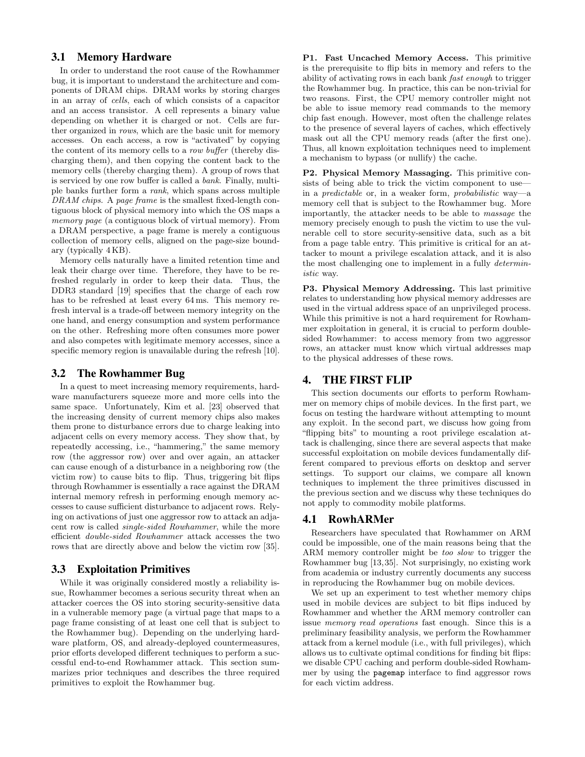## 3.1 Memory Hardware

In order to understand the root cause of the Rowhammer bug, it is important to understand the architecture and components of DRAM chips. DRAM works by storing charges in an array of cells, each of which consists of a capacitor and an access transistor. A cell represents a binary value depending on whether it is charged or not. Cells are further organized in rows, which are the basic unit for memory accesses. On each access, a row is "activated" by copying the content of its memory cells to a row buffer (thereby discharging them), and then copying the content back to the memory cells (thereby charging them). A group of rows that is serviced by one row buffer is called a bank. Finally, multiple banks further form a rank, which spans across multiple DRAM chips. A page frame is the smallest fixed-length contiguous block of physical memory into which the OS maps a memory page (a contiguous block of virtual memory). From a DRAM perspective, a page frame is merely a contiguous collection of memory cells, aligned on the page-size boundary (typically 4 KB).

Memory cells naturally have a limited retention time and leak their charge over time. Therefore, they have to be refreshed regularly in order to keep their data. Thus, the DDR3 standard [19] specifies that the charge of each row has to be refreshed at least every 64 ms. This memory refresh interval is a trade-off between memory integrity on the one hand, and energy consumption and system performance on the other. Refreshing more often consumes more power and also competes with legitimate memory accesses, since a specific memory region is unavailable during the refresh [10].

## 3.2 The Rowhammer Bug

In a quest to meet increasing memory requirements, hardware manufacturers squeeze more and more cells into the same space. Unfortunately, Kim et al. [23] observed that the increasing density of current memory chips also makes them prone to disturbance errors due to charge leaking into adjacent cells on every memory access. They show that, by repeatedly accessing, i.e., "hammering," the same memory row (the aggressor row) over and over again, an attacker can cause enough of a disturbance in a neighboring row (the victim row) to cause bits to flip. Thus, triggering bit flips through Rowhammer is essentially a race against the DRAM internal memory refresh in performing enough memory accesses to cause sufficient disturbance to adjacent rows. Relying on activations of just one aggressor row to attack an adjacent row is called single-sided Rowhammer, while the more efficient double-sided Rowhammer attack accesses the two rows that are directly above and below the victim row [35].

## 3.3 Exploitation Primitives

While it was originally considered mostly a reliability issue, Rowhammer becomes a serious security threat when an attacker coerces the OS into storing security-sensitive data in a vulnerable memory page (a virtual page that maps to a page frame consisting of at least one cell that is subject to the Rowhammer bug). Depending on the underlying hardware platform, OS, and already-deployed countermeasures, prior efforts developed different techniques to perform a successful end-to-end Rowhammer attack. This section summarizes prior techniques and describes the three required primitives to exploit the Rowhammer bug.

P1. Fast Uncached Memory Access. This primitive is the prerequisite to flip bits in memory and refers to the ability of activating rows in each bank fast enough to trigger the Rowhammer bug. In practice, this can be non-trivial for two reasons. First, the CPU memory controller might not be able to issue memory read commands to the memory chip fast enough. However, most often the challenge relates to the presence of several layers of caches, which effectively mask out all the CPU memory reads (after the first one). Thus, all known exploitation techniques need to implement a mechanism to bypass (or nullify) the cache.

P2. Physical Memory Massaging. This primitive consists of being able to trick the victim component to use in a predictable or, in a weaker form, probabilistic way—a memory cell that is subject to the Rowhammer bug. More importantly, the attacker needs to be able to massage the memory precisely enough to push the victim to use the vulnerable cell to store security-sensitive data, such as a bit from a page table entry. This primitive is critical for an attacker to mount a privilege escalation attack, and it is also the most challenging one to implement in a fully deterministic way.

P3. Physical Memory Addressing. This last primitive relates to understanding how physical memory addresses are used in the virtual address space of an unprivileged process. While this primitive is not a hard requirement for Rowhammer exploitation in general, it is crucial to perform doublesided Rowhammer: to access memory from two aggressor rows, an attacker must know which virtual addresses map to the physical addresses of these rows.

## 4. THE FIRST FLIP

This section documents our efforts to perform Rowhammer on memory chips of mobile devices. In the first part, we focus on testing the hardware without attempting to mount any exploit. In the second part, we discuss how going from "flipping bits" to mounting a root privilege escalation attack is challenging, since there are several aspects that make successful exploitation on mobile devices fundamentally different compared to previous efforts on desktop and server settings. To support our claims, we compare all known techniques to implement the three primitives discussed in the previous section and we discuss why these techniques do not apply to commodity mobile platforms.

## 4.1 RowhARMer

Researchers have speculated that Rowhammer on ARM could be impossible, one of the main reasons being that the ARM memory controller might be too slow to trigger the Rowhammer bug [13,35]. Not surprisingly, no existing work from academia or industry currently documents any success in reproducing the Rowhammer bug on mobile devices.

We set up an experiment to test whether memory chips used in mobile devices are subject to bit flips induced by Rowhammer and whether the ARM memory controller can issue memory read operations fast enough. Since this is a preliminary feasibility analysis, we perform the Rowhammer attack from a kernel module (i.e., with full privileges), which allows us to cultivate optimal conditions for finding bit flips: we disable CPU caching and perform double-sided Rowhammer by using the pagemap interface to find aggressor rows for each victim address.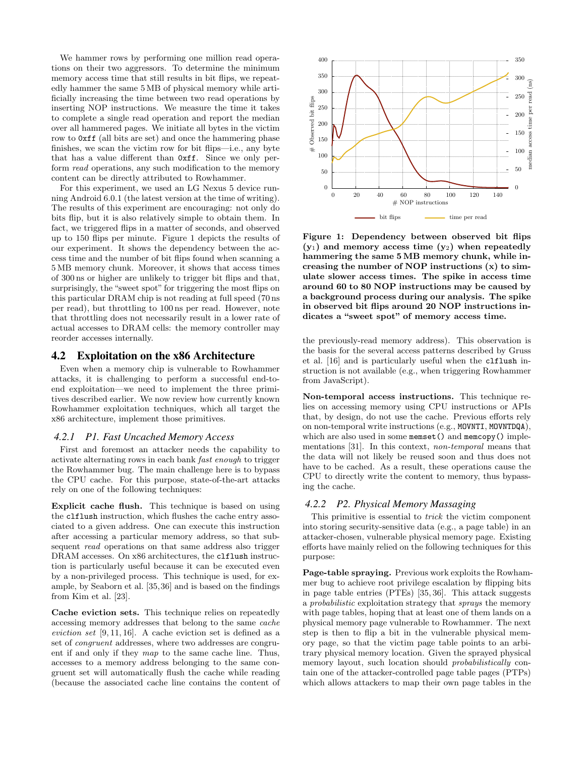We hammer rows by performing one million read operations on their two aggressors. To determine the minimum memory access time that still results in bit flips, we repeatedly hammer the same 5 MB of physical memory while artificially increasing the time between two read operations by inserting NOP instructions. We measure the time it takes to complete a single read operation and report the median over all hammered pages. We initiate all bytes in the victim row to 0xff (all bits are set) and once the hammering phase finishes, we scan the victim row for bit flips—i.e., any byte that has a value different than 0xff. Since we only perform read operations, any such modification to the memory content can be directly attributed to Rowhammer.

For this experiment, we used an LG Nexus 5 device running Android 6.0.1 (the latest version at the time of writing). The results of this experiment are encouraging: not only do bits flip, but it is also relatively simple to obtain them. In fact, we triggered flips in a matter of seconds, and observed up to 150 flips per minute. Figure 1 depicts the results of our experiment. It shows the dependency between the access time and the number of bit flips found when scanning a 5 MB memory chunk. Moreover, it shows that access times of 300 ns or higher are unlikely to trigger bit flips and that, surprisingly, the "sweet spot" for triggering the most flips on this particular DRAM chip is not reading at full speed (70 ns per read), but throttling to 100 ns per read. However, note that throttling does not necessarily result in a lower rate of actual accesses to DRAM cells: the memory controller may reorder accesses internally.

#### 4.2 Exploitation on the x86 Architecture

Even when a memory chip is vulnerable to Rowhammer attacks, it is challenging to perform a successful end-toend exploitation—we need to implement the three primitives described earlier. We now review how currently known Rowhammer exploitation techniques, which all target the x86 architecture, implement those primitives.

#### *4.2.1 P1. Fast Uncached Memory Access*

First and foremost an attacker needs the capability to activate alternating rows in each bank fast enough to trigger the Rowhammer bug. The main challenge here is to bypass the CPU cache. For this purpose, state-of-the-art attacks rely on one of the following techniques:

Explicit cache flush. This technique is based on using the clflush instruction, which flushes the cache entry associated to a given address. One can execute this instruction after accessing a particular memory address, so that subsequent *read* operations on that same address also trigger DRAM accesses. On x86 architectures, the clflush instruction is particularly useful because it can be executed even by a non-privileged process. This technique is used, for example, by Seaborn et al. [35,36] and is based on the findings from Kim et al. [23].

Cache eviction sets. This technique relies on repeatedly accessing memory addresses that belong to the same cache eviction set [9, 11, 16]. A cache eviction set is defined as a set of congruent addresses, where two addresses are congruent if and only if they map to the same cache line. Thus, accesses to a memory address belonging to the same congruent set will automatically flush the cache while reading (because the associated cache line contains the content of



Figure 1: Dependency between observed bit flips  $(y_1)$  and memory access time  $(y_2)$  when repeatedly hammering the same 5 MB memory chunk, while increasing the number of NOP instructions (x) to simulate slower access times. The spike in access time around 60 to 80 NOP instructions may be caused by a background process during our analysis. The spike in observed bit flips around 20 NOP instructions indicates a "sweet spot" of memory access time.

the previously-read memory address). This observation is the basis for the several access patterns described by Gruss et al. [16] and is particularly useful when the clflush instruction is not available (e.g., when triggering Rowhammer from JavaScript).

Non-temporal access instructions. This technique relies on accessing memory using CPU instructions or APIs that, by design, do not use the cache. Previous efforts rely on non-temporal write instructions (e.g., MOVNTI, MOVNTDQA), which are also used in some memset () and memcopy() implementations [31]. In this context, non-temporal means that the data will not likely be reused soon and thus does not have to be cached. As a result, these operations cause the CPU to directly write the content to memory, thus bypassing the cache.

#### *4.2.2 P2. Physical Memory Massaging*

This primitive is essential to trick the victim component into storing security-sensitive data (e.g., a page table) in an attacker-chosen, vulnerable physical memory page. Existing efforts have mainly relied on the following techniques for this purpose:

Page-table spraying. Previous work exploits the Rowhammer bug to achieve root privilege escalation by flipping bits in page table entries (PTEs) [35, 36]. This attack suggests a probabilistic exploitation strategy that sprays the memory with page tables, hoping that at least one of them lands on a physical memory page vulnerable to Rowhammer. The next step is then to flip a bit in the vulnerable physical memory page, so that the victim page table points to an arbitrary physical memory location. Given the sprayed physical memory layout, such location should probabilistically contain one of the attacker-controlled page table pages (PTPs) which allows attackers to map their own page tables in the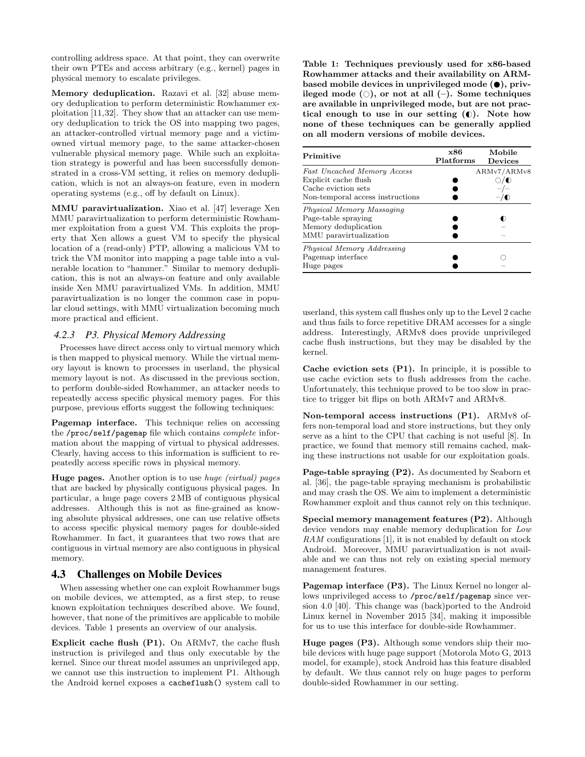controlling address space. At that point, they can overwrite their own PTEs and access arbitrary (e.g., kernel) pages in physical memory to escalate privileges.

Memory deduplication. Razavi et al. [32] abuse memory deduplication to perform deterministic Rowhammer exploitation [11,32]. They show that an attacker can use memory deduplication to trick the OS into mapping two pages, an attacker-controlled virtual memory page and a victimowned virtual memory page, to the same attacker-chosen vulnerable physical memory page. While such an exploitation strategy is powerful and has been successfully demonstrated in a cross-VM setting, it relies on memory deduplication, which is not an always-on feature, even in modern operating systems (e.g., off by default on Linux).

MMU paravirtualization. Xiao et al. [47] leverage Xen MMU paravirtualization to perform deterministic Rowhammer exploitation from a guest VM. This exploits the property that Xen allows a guest VM to specify the physical location of a (read-only) PTP, allowing a malicious VM to trick the VM monitor into mapping a page table into a vulnerable location to "hammer." Similar to memory deduplication, this is not an always-on feature and only available inside Xen MMU paravirtualized VMs. In addition, MMU paravirtualization is no longer the common case in popular cloud settings, with MMU virtualization becoming much more practical and efficient.

### *4.2.3 P3. Physical Memory Addressing*

Processes have direct access only to virtual memory which is then mapped to physical memory. While the virtual memory layout is known to processes in userland, the physical memory layout is not. As discussed in the previous section, to perform double-sided Rowhammer, an attacker needs to repeatedly access specific physical memory pages. For this purpose, previous efforts suggest the following techniques:

Pagemap interface. This technique relies on accessing the /proc/self/pagemap file which contains complete information about the mapping of virtual to physical addresses. Clearly, having access to this information is sufficient to repeatedly access specific rows in physical memory.

Huge pages. Another option is to use *huge (virtual)* pages that are backed by physically contiguous physical pages. In particular, a huge page covers 2 MB of contiguous physical addresses. Although this is not as fine-grained as knowing absolute physical addresses, one can use relative offsets to access specific physical memory pages for double-sided Rowhammer. In fact, it guarantees that two rows that are contiguous in virtual memory are also contiguous in physical memory.

## 4.3 Challenges on Mobile Devices

When assessing whether one can exploit Rowhammer bugs on mobile devices, we attempted, as a first step, to reuse known exploitation techniques described above. We found, however, that none of the primitives are applicable to mobile devices. Table 1 presents an overview of our analysis.

Explicit cache flush (P1). On ARMv7, the cache flush instruction is privileged and thus only executable by the kernel. Since our threat model assumes an unprivileged app, we cannot use this instruction to implement P1. Although the Android kernel exposes a cacheflush() system call to

Table 1: Techniques previously used for x86-based Rowhammer attacks and their availability on ARMbased mobile devices in unprivileged mode  $( \bullet)$ , privileged mode  $( \circ )$ , or not at all  $(-).$  Some techniques are available in unprivileged mode, but are not practical enough to use in our setting  $(0)$ . Note how none of these techniques can be generally applied on all modern versions of mobile devices.

| Primitive                                                                                                             | x86<br><b>Platforms</b> | Mobile<br>Devices           |
|-----------------------------------------------------------------------------------------------------------------------|-------------------------|-----------------------------|
| <b>Fast Uncached Memory Access</b><br>Explicit cache flush<br>Cache eviction sets<br>Non-temporal access instructions |                         | ARMv7/ARMv8<br>೧/∩<br>$-/-$ |
| Physical Memory Massaging<br>Page-table spraying<br>Memory deduplication<br>MMU paravirtualization                    |                         |                             |
| Physical Memory Addressing<br>Pagemap interface<br>Huge pages                                                         |                         |                             |

userland, this system call flushes only up to the Level 2 cache and thus fails to force repetitive DRAM accesses for a single address. Interestingly, ARMv8 does provide unprivileged cache flush instructions, but they may be disabled by the kernel.

Cache eviction sets (P1). In principle, it is possible to use cache eviction sets to flush addresses from the cache. Unfortunately, this technique proved to be too slow in practice to trigger bit flips on both ARMv7 and ARMv8.

Non-temporal access instructions (P1). ARMv8 offers non-temporal load and store instructions, but they only serve as a hint to the CPU that caching is not useful [8]. In practice, we found that memory still remains cached, making these instructions not usable for our exploitation goals.

Page-table spraying (P2). As documented by Seaborn et al. [36], the page-table spraying mechanism is probabilistic and may crash the OS. We aim to implement a deterministic Rowhammer exploit and thus cannot rely on this technique.

Special memory management features (P2). Although device vendors may enable memory deduplication for Low RAM configurations [1], it is not enabled by default on stock Android. Moreover, MMU paravirtualization is not available and we can thus not rely on existing special memory management features.

Pagemap interface (P3). The Linux Kernel no longer allows unprivileged access to /proc/self/pagemap since version 4.0 [40]. This change was (back)ported to the Android Linux kernel in November 2015 [34], making it impossible for us to use this interface for double-side Rowhammer.

Huge pages (P3). Although some vendors ship their mobile devices with huge page support (Motorola Moto G, 2013 model, for example), stock Android has this feature disabled by default. We thus cannot rely on huge pages to perform double-sided Rowhammer in our setting.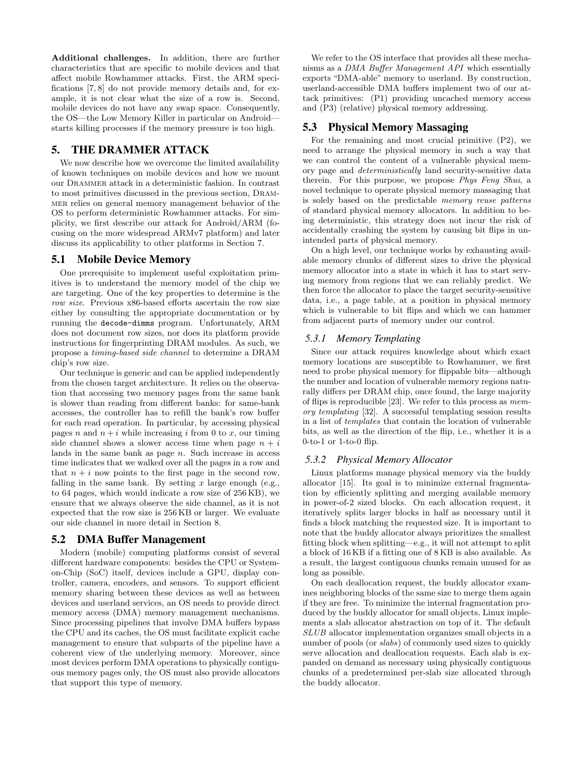Additional challenges. In addition, there are further characteristics that are specific to mobile devices and that affect mobile Rowhammer attacks. First, the ARM specifications [7, 8] do not provide memory details and, for example, it is not clear what the size of a row is. Second, mobile devices do not have any swap space. Consequently, the OS—the Low Memory Killer in particular on Android starts killing processes if the memory pressure is too high.

# 5. THE DRAMMER ATTACK

We now describe how we overcome the limited availability of known techniques on mobile devices and how we mount our Drammer attack in a deterministic fashion. In contrast to most primitives discussed in the previous section, Drammer relies on general memory management behavior of the OS to perform deterministic Rowhammer attacks. For simplicity, we first describe our attack for Android/ARM (focusing on the more widespread ARMv7 platform) and later discuss its applicability to other platforms in Section 7.

## 5.1 Mobile Device Memory

One prerequisite to implement useful exploitation primitives is to understand the memory model of the chip we are targeting. One of the key properties to determine is the row size. Previous x86-based efforts ascertain the row size either by consulting the appropriate documentation or by running the decode-dimms program. Unfortunately, ARM does not document row sizes, nor does its platform provide instructions for fingerprinting DRAM modules. As such, we propose a timing-based side channel to determine a DRAM chip's row size.

Our technique is generic and can be applied independently from the chosen target architecture. It relies on the observation that accessing two memory pages from the same bank is slower than reading from different banks: for same-bank accesses, the controller has to refill the bank's row buffer for each read operation. In particular, by accessing physical pages n and  $n + i$  while increasing i from 0 to x, our timing side channel shows a slower access time when page  $n + i$ lands in the same bank as page  $n$ . Such increase in access time indicates that we walked over all the pages in a row and that  $n + i$  now points to the first page in the second row, falling in the same bank. By setting  $x$  large enough (e.g., to 64 pages, which would indicate a row size of 256 KB), we ensure that we always observe the side channel, as it is not expected that the row size is 256 KB or larger. We evaluate our side channel in more detail in Section 8.

## 5.2 DMA Buffer Management

Modern (mobile) computing platforms consist of several different hardware components: besides the CPU or Systemon-Chip (SoC) itself, devices include a GPU, display controller, camera, encoders, and sensors. To support efficient memory sharing between these devices as well as between devices and userland services, an OS needs to provide direct memory access (DMA) memory management mechanisms. Since processing pipelines that involve DMA buffers bypass the CPU and its caches, the OS must facilitate explicit cache management to ensure that subparts of the pipeline have a coherent view of the underlying memory. Moreover, since most devices perform DMA operations to physically contiguous memory pages only, the OS must also provide allocators that support this type of memory.

We refer to the OS interface that provides all these mechanisms as a DMA Buffer Management API which essentially exports "DMA-able" memory to userland. By construction, userland-accessible DMA buffers implement two of our attack primitives: (P1) providing uncached memory access and (P3) (relative) physical memory addressing.

## 5.3 Physical Memory Massaging

For the remaining and most crucial primitive (P2), we need to arrange the physical memory in such a way that we can control the content of a vulnerable physical memory page and deterministically land security-sensitive data therein. For this purpose, we propose Phys Feng Shui, a novel technique to operate physical memory massaging that is solely based on the predictable memory reuse patterns of standard physical memory allocators. In addition to being deterministic, this strategy does not incur the risk of accidentally crashing the system by causing bit flips in unintended parts of physical memory.

On a high level, our technique works by exhausting available memory chunks of different sizes to drive the physical memory allocator into a state in which it has to start serving memory from regions that we can reliably predict. We then force the allocator to place the target security-sensitive data, i.e., a page table, at a position in physical memory which is vulnerable to bit flips and which we can hammer from adjacent parts of memory under our control.

#### *5.3.1 Memory Templating*

Since our attack requires knowledge about which exact memory locations are susceptible to Rowhammer, we first need to probe physical memory for flippable bits—although the number and location of vulnerable memory regions naturally differs per DRAM chip, once found, the large majority of flips is reproducible [23]. We refer to this process as memory templating [32]. A successful templating session results in a list of templates that contain the location of vulnerable bits, as well as the direction of the flip, i.e., whether it is a 0-to-1 or 1-to-0 flip.

#### *5.3.2 Physical Memory Allocator*

Linux platforms manage physical memory via the buddy allocator [15]. Its goal is to minimize external fragmentation by efficiently splitting and merging available memory in power-of-2 sized blocks. On each allocation request, it iteratively splits larger blocks in half as necessary until it finds a block matching the requested size. It is important to note that the buddy allocator always prioritizes the smallest fitting block when splitting—e.g., it will not attempt to split a block of 16 KB if a fitting one of 8 KB is also available. As a result, the largest contiguous chunks remain unused for as long as possible.

On each deallocation request, the buddy allocator examines neighboring blocks of the same size to merge them again if they are free. To minimize the internal fragmentation produced by the buddy allocator for small objects, Linux implements a slab allocator abstraction on top of it. The default SLUB allocator implementation organizes small objects in a number of pools (or *slabs*) of commonly used sizes to quickly serve allocation and deallocation requests. Each slab is expanded on demand as necessary using physically contiguous chunks of a predetermined per-slab size allocated through the buddy allocator.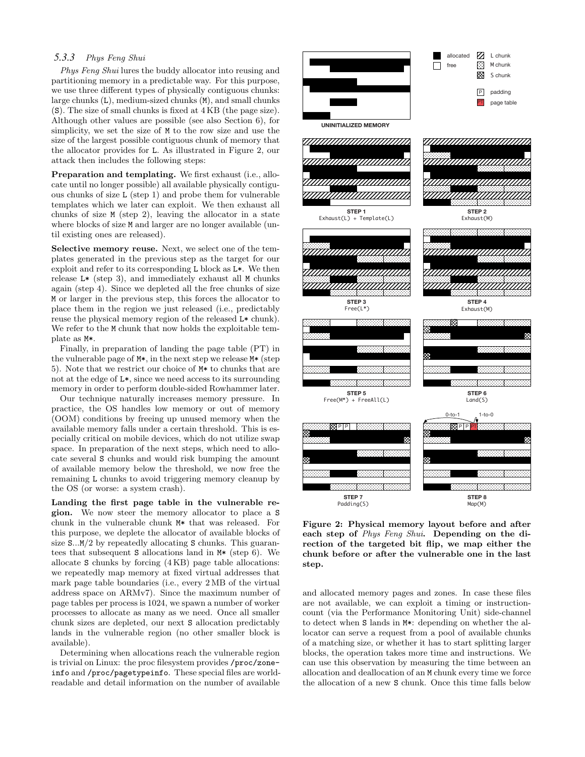#### *5.3.3* Phys Feng Shui

Phys Feng Shui lures the buddy allocator into reusing and partitioning memory in a predictable way. For this purpose, we use three different types of physically contiguous chunks: large chunks (L), medium-sized chunks (M), and small chunks (S). The size of small chunks is fixed at 4 KB (the page size). Although other values are possible (see also Section 6), for simplicity, we set the size of M to the row size and use the size of the largest possible contiguous chunk of memory that the allocator provides for L. As illustrated in Figure 2, our attack then includes the following steps:

Preparation and templating. We first exhaust (i.e., allocate until no longer possible) all available physically contiguous chunks of size L (step 1) and probe them for vulnerable templates which we later can exploit. We then exhaust all chunks of size M (step 2), leaving the allocator in a state where blocks of size M and larger are no longer available (until existing ones are released).

Selective memory reuse. Next, we select one of the templates generated in the previous step as the target for our exploit and refer to its corresponding L block as L\*. We then release L\* (step 3), and immediately exhaust all M chunks again (step 4). Since we depleted all the free chunks of size M or larger in the previous step, this forces the allocator to place them in the region we just released (i.e., predictably reuse the physical memory region of the released L\* chunk). We refer to the  $M$  chunk that now holds the exploitable template as M\*.

Finally, in preparation of landing the page table (PT) in the vulnerable page of M\*, in the next step we release M\* (step 5). Note that we restrict our choice of M\* to chunks that are not at the edge of L\*, since we need access to its surrounding memory in order to perform double-sided Rowhammer later.

Our technique naturally increases memory pressure. In practice, the OS handles low memory or out of memory (OOM) conditions by freeing up unused memory when the available memory falls under a certain threshold. This is especially critical on mobile devices, which do not utilize swap space. In preparation of the next steps, which need to allocate several S chunks and would risk bumping the amount of available memory below the threshold, we now free the remaining L chunks to avoid triggering memory cleanup by the OS (or worse: a system crash).

Landing the first page table in the vulnerable region. We now steer the memory allocator to place a S chunk in the vulnerable chunk M\* that was released. For this purpose, we deplete the allocator of available blocks of size  $S...M/2$  by repeatedly allocating S chunks. This guarantees that subsequent S allocations land in M\* (step 6). We allocate S chunks by forcing (4 KB) page table allocations: we repeatedly map memory at fixed virtual addresses that mark page table boundaries (i.e., every 2 MB of the virtual address space on ARMv7). Since the maximum number of page tables per process is 1024, we spawn a number of worker processes to allocate as many as we need. Once all smaller chunk sizes are depleted, our next S allocation predictably lands in the vulnerable region (no other smaller block is available).

Determining when allocations reach the vulnerable region is trivial on Linux: the proc filesystem provides /proc/zoneinfo and /proc/pagetypeinfo. These special files are worldreadable and detail information on the number of available



Figure 2: Physical memory layout before and after each step of Phys Feng Shui. Depending on the direction of the targeted bit flip, we map either the chunk before or after the vulnerable one in the last step.

and allocated memory pages and zones. In case these files are not available, we can exploit a timing or instructioncount (via the Performance Monitoring Unit) side-channel to detect when S lands in M\*: depending on whether the allocator can serve a request from a pool of available chunks of a matching size, or whether it has to start splitting larger blocks, the operation takes more time and instructions. We can use this observation by measuring the time between an allocation and deallocation of an M chunk every time we force the allocation of a new S chunk. Once this time falls below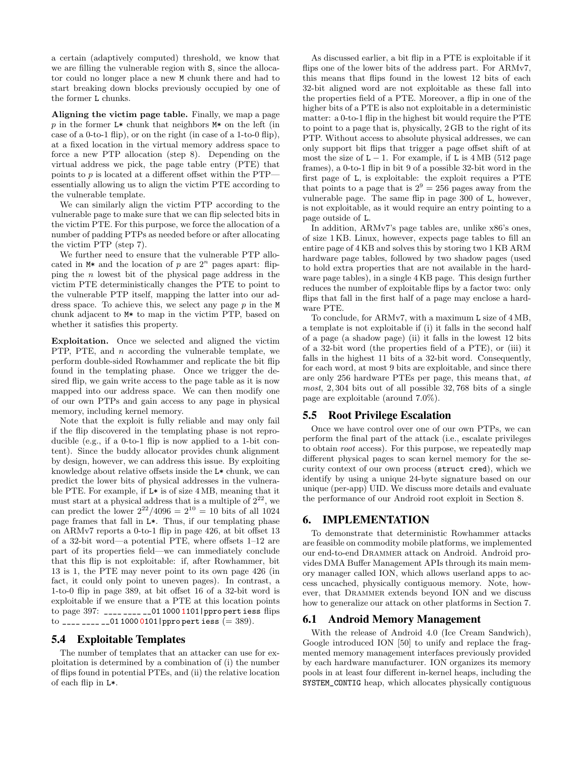a certain (adaptively computed) threshold, we know that we are filling the vulnerable region with S, since the allocator could no longer place a new M chunk there and had to start breaking down blocks previously occupied by one of the former L chunks.

Aligning the victim page table. Finally, we map a page p in the former  $L*$  chunk that neighbors  $M*$  on the left (in case of a 0-to-1 flip), or on the right (in case of a 1-to-0 flip), at a fixed location in the virtual memory address space to force a new PTP allocation (step 8). Depending on the virtual address we pick, the page table entry (PTE) that points to  $p$  is located at a different offset within the PTP essentially allowing us to align the victim PTE according to the vulnerable template.

We can similarly align the victim PTP according to the vulnerable page to make sure that we can flip selected bits in the victim PTE. For this purpose, we force the allocation of a number of padding PTPs as needed before or after allocating the victim PTP (step 7).

We further need to ensure that the vulnerable PTP allocated in  $M*$  and the location of p are  $2^n$  pages apart: flipping the n lowest bit of the physical page address in the victim PTE deterministically changes the PTE to point to the vulnerable PTP itself, mapping the latter into our address space. To achieve this, we select any page  $p$  in the M chunk adjacent to M\* to map in the victim PTP, based on whether it satisfies this property.

Exploitation. Once we selected and aligned the victim PTP, PTE, and  $n$  according the vulnerable template, we perform double-sided Rowhammer and replicate the bit flip found in the templating phase. Once we trigger the desired flip, we gain write access to the page table as it is now mapped into our address space. We can then modify one of our own PTPs and gain access to any page in physical memory, including kernel memory.

Note that the exploit is fully reliable and may only fail if the flip discovered in the templating phase is not reproducible (e.g., if a 0-to-1 flip is now applied to a 1-bit content). Since the buddy allocator provides chunk alignment by design, however, we can address this issue. By exploiting knowledge about relative offsets inside the L\* chunk, we can predict the lower bits of physical addresses in the vulnerable PTE. For example, if L\* is of size 4 MB, meaning that it must start at a physical address that is a multiple of  $2^{22}$ , we can predict the lower  $2^{22}/4096 = 2^{10} = 10$  bits of all 1024 page frames that fall in L\*. Thus, if our templating phase on ARMv7 reports a 0-to-1 flip in page 426, at bit offset 13 of a 32-bit word—a potential PTE, where offsets 1–12 are part of its properties field—we can immediately conclude that this flip is not exploitable: if, after Rowhammer, bit 13 is 1, the PTE may never point to its own page 426 (in fact, it could only point to uneven pages). In contrast, a 1-to-0 flip in page 389, at bit offset 16 of a 32-bit word is exploitable if we ensure that a PTE at this location points to page  $397:$  \_\_\_\_\_\_\_\_\_01 1000 1101 | ppro pert iess flips to  $\frac{1}{2}$  =  $\frac{1}{2}$  =  $\frac{1}{2}$  = 01 1000 0101 | ppro pert iess (= 389).

## 5.4 Exploitable Templates

The number of templates that an attacker can use for exploitation is determined by a combination of (i) the number of flips found in potential PTEs, and (ii) the relative location of each flip in L\*.

As discussed earlier, a bit flip in a PTE is exploitable if it flips one of the lower bits of the address part. For ARMv7, this means that flips found in the lowest 12 bits of each 32-bit aligned word are not exploitable as these fall into the properties field of a PTE. Moreover, a flip in one of the higher bits of a PTE is also not exploitable in a deterministic matter: a 0-to-1 flip in the highest bit would require the PTE to point to a page that is, physically, 2 GB to the right of its PTP. Without access to absolute physical addresses, we can only support bit flips that trigger a page offset shift of at most the size of  $L - 1$ . For example, if L is 4 MB (512 page frames), a 0-to-1 flip in bit 9 of a possible 32-bit word in the first page of L, is exploitable: the exploit requires a PTE that points to a page that is  $2^9 = 256$  pages away from the vulnerable page. The same flip in page 300 of L, however, is not exploitable, as it would require an entry pointing to a page outside of L.

In addition, ARMv7's page tables are, unlike x86's ones, of size 1 KB. Linux, however, expects page tables to fill an entire page of 4 KB and solves this by storing two 1 KB ARM hardware page tables, followed by two shadow pages (used to hold extra properties that are not available in the hardware page tables), in a single 4 KB page. This design further reduces the number of exploitable flips by a factor two: only flips that fall in the first half of a page may enclose a hardware PTE.

To conclude, for ARMv7, with a maximum L size of 4 MB, a template is not exploitable if (i) it falls in the second half of a page (a shadow page) (ii) it falls in the lowest 12 bits of a 32-bit word (the properties field of a PTE), or (iii) it falls in the highest 11 bits of a 32-bit word. Consequently, for each word, at most 9 bits are exploitable, and since there are only 256 hardware PTEs per page, this means that, at most, 2, 304 bits out of all possible 32, 768 bits of a single page are exploitable (around 7.0%).

# 5.5 Root Privilege Escalation

Once we have control over one of our own PTPs, we can perform the final part of the attack (i.e., escalate privileges to obtain root access). For this purpose, we repeatedly map different physical pages to scan kernel memory for the security context of our own process (struct cred), which we identify by using a unique 24-byte signature based on our unique (per-app) UID. We discuss more details and evaluate the performance of our Android root exploit in Section 8.

# 6. IMPLEMENTATION

To demonstrate that deterministic Rowhammer attacks are feasible on commodity mobile platforms, we implemented our end-to-end Drammer attack on Android. Android provides DMA Buffer Management APIs through its main memory manager called ION, which allows userland apps to access uncached, physically contiguous memory. Note, however, that Drammer extends beyond ION and we discuss how to generalize our attack on other platforms in Section 7.

## 6.1 Android Memory Management

With the release of Android 4.0 (Ice Cream Sandwich), Google introduced ION [50] to unify and replace the fragmented memory management interfaces previously provided by each hardware manufacturer. ION organizes its memory pools in at least four different in-kernel heaps, including the SYSTEM\_CONTIG heap, which allocates physically contiguous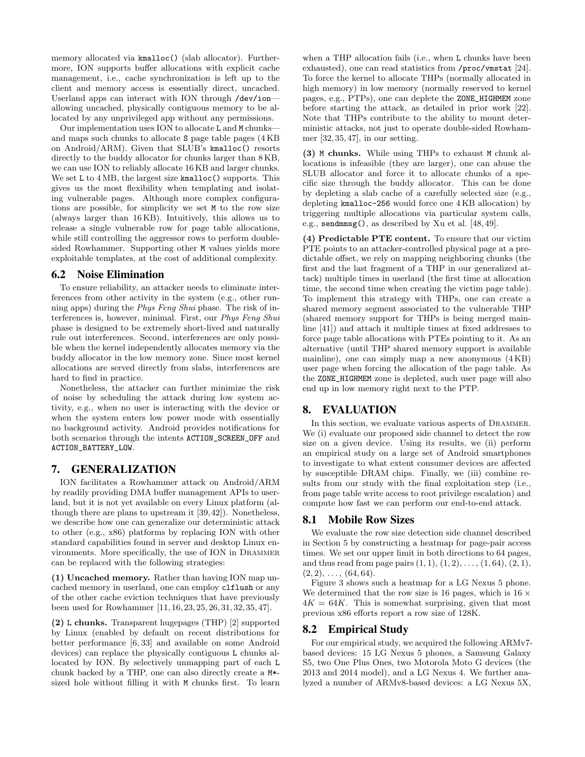memory allocated via kmalloc() (slab allocator). Furthermore, ION supports buffer allocations with explicit cache management, i.e., cache synchronization is left up to the client and memory access is essentially direct, uncached. Userland apps can interact with ION through /dev/ion allowing uncached, physically contiguous memory to be allocated by any unprivileged app without any permissions.

Our implementation uses ION to allocate L and M chunks and maps such chunks to allocate S page table pages (4 KB on Android/ARM). Given that SLUB's kmalloc() resorts directly to the buddy allocator for chunks larger than 8 KB, we can use ION to reliably allocate 16 KB and larger chunks. We set L to  $4 \text{ MB}$ , the largest size kmalloc() supports. This gives us the most flexibility when templating and isolating vulnerable pages. Although more complex configurations are possible, for simplicity we set M to the row size (always larger than 16 KB). Intuitively, this allows us to release a single vulnerable row for page table allocations, while still controlling the aggressor rows to perform doublesided Rowhammer. Supporting other M values yields more exploitable templates, at the cost of additional complexity.

## 6.2 Noise Elimination

To ensure reliability, an attacker needs to eliminate interferences from other activity in the system (e.g., other running apps) during the Phys Feng Shui phase. The risk of interferences is, however, minimal. First, our Phys Feng Shui phase is designed to be extremely short-lived and naturally rule out interferences. Second, interferences are only possible when the kernel independently allocates memory via the buddy allocator in the low memory zone. Since most kernel allocations are served directly from slabs, interferences are hard to find in practice.

Nonetheless, the attacker can further minimize the risk of noise by scheduling the attack during low system activity, e.g., when no user is interacting with the device or when the system enters low power mode with essentially no background activity. Android provides notifications for both scenarios through the intents ACTION\_SCREEN\_OFF and ACTION\_BATTERY\_LOW.

# 7. GENERALIZATION

ION facilitates a Rowhammer attack on Android/ARM by readily providing DMA buffer management APIs to userland, but it is not yet available on every Linux platform (although there are plans to upstream it [39,42]). Nonetheless, we describe how one can generalize our deterministic attack to other (e.g., x86) platforms by replacing ION with other standard capabilities found in server and desktop Linux environments. More specifically, the use of ION in Drammer can be replaced with the following strategies:

(1) Uncached memory. Rather than having ION map uncached memory in userland, one can employ clflush or any of the other cache eviction techniques that have previously been used for Rowhammer [11, 16, 23, 25, 26, 31, 32, 35, 47].

(2) L chunks. Transparent hugepages (THP) [2] supported by Linux (enabled by default on recent distributions for better performance [6, 33] and available on some Android devices) can replace the physically contiguous L chunks allocated by ION. By selectively unmapping part of each L chunk backed by a THP, one can also directly create a M\* sized hole without filling it with M chunks first. To learn when a THP allocation fails (i.e., when L chunks have been exhausted), one can read statistics from /proc/vmstat [24]. To force the kernel to allocate THPs (normally allocated in high memory) in low memory (normally reserved to kernel pages, e.g., PTPs), one can deplete the ZONE\_HIGHMEM zone before starting the attack, as detailed in prior work [22]. Note that THPs contribute to the ability to mount deterministic attacks, not just to operate double-sided Rowhammer [32, 35, 47], in our setting.

(3) M chunks. While using THPs to exhaust M chunk allocations is infeasible (they are larger), one can abuse the SLUB allocator and force it to allocate chunks of a specific size through the buddy allocator. This can be done by depleting a slab cache of a carefully selected size (e.g., depleting kmalloc-256 would force one 4 KB allocation) by triggering multiple allocations via particular system calls, e.g., sendmmsg(), as described by Xu et al. [48, 49].

(4) Predictable PTE content. To ensure that our victim PTE points to an attacker-controlled physical page at a predictable offset, we rely on mapping neighboring chunks (the first and the last fragment of a THP in our generalized attack) multiple times in userland (the first time at allocation time, the second time when creating the victim page table). To implement this strategy with THPs, one can create a shared memory segment associated to the vulnerable THP (shared memory support for THPs is being merged mainline [41]) and attach it multiple times at fixed addresses to force page table allocations with PTEs pointing to it. As an alternative (until THP shared memory support is available mainline), one can simply map a new anonymous (4 KB) user page when forcing the allocation of the page table. As the ZONE\_HIGHMEM zone is depleted, such user page will also end up in low memory right next to the PTP.

# 8. EVALUATION

In this section, we evaluate various aspects of Drammer. We (i) evaluate our proposed side channel to detect the row size on a given device. Using its results, we (ii) perform an empirical study on a large set of Android smartphones to investigate to what extent consumer devices are affected by susceptible DRAM chips. Finally, we (iii) combine results from our study with the final exploitation step (i.e., from page table write access to root privilege escalation) and compute how fast we can perform our end-to-end attack.

## 8.1 Mobile Row Sizes

We evaluate the row size detection side channel described in Section 5 by constructing a heatmap for page-pair access times. We set our upper limit in both directions to 64 pages, and thus read from page pairs  $(1, 1), (1, 2), \ldots, (1, 64), (2, 1),$  $(2, 2), \ldots, (64, 64).$ 

Figure 3 shows such a heatmap for a LG Nexus 5 phone. We determined that the row size is 16 pages, which is  $16 \times$  $4K = 64K$ . This is somewhat surprising, given that most previous x86 efforts report a row size of 128K.

#### 8.2 Empirical Study

For our empirical study, we acquired the following ARMv7 based devices: 15 LG Nexus 5 phones, a Samsung Galaxy S5, two One Plus Ones, two Motorola Moto G devices (the 2013 and 2014 model), and a LG Nexus 4. We further analyzed a number of ARMv8-based devices: a LG Nexus 5X,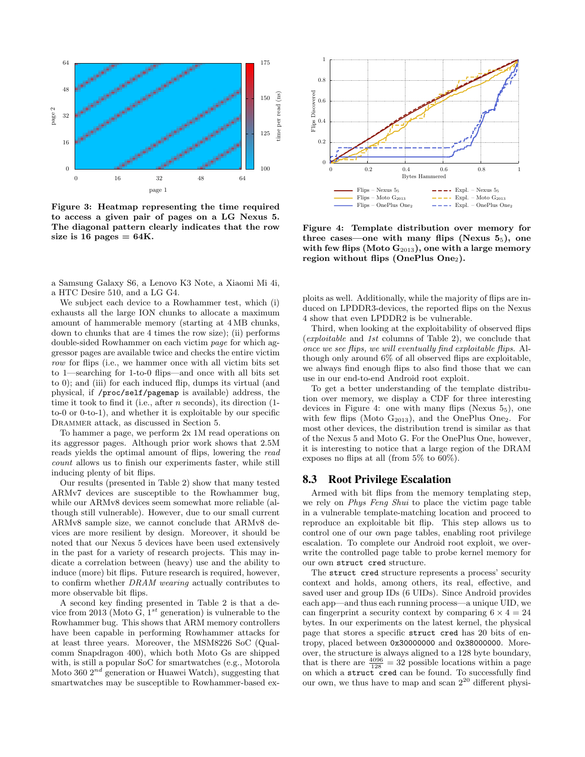

Figure 3: Heatmap representing the time required to access a given pair of pages on a LG Nexus 5. The diagonal pattern clearly indicates that the row size is 16 pages  $= 64$ K.

a Samsung Galaxy S6, a Lenovo K3 Note, a Xiaomi Mi 4i, a HTC Desire 510, and a LG G4.

We subject each device to a Rowhammer test, which (i) exhausts all the large ION chunks to allocate a maximum amount of hammerable memory (starting at 4 MB chunks, down to chunks that are 4 times the row size); (ii) performs double-sided Rowhammer on each victim page for which aggressor pages are available twice and checks the entire victim row for flips (i.e., we hammer once with all victim bits set to 1—searching for 1-to-0 flips—and once with all bits set to 0); and (iii) for each induced flip, dumps its virtual (and physical, if /proc/self/pagemap is available) address, the time it took to find it (i.e., after  $n$  seconds), its direction  $(1$ to-0 or 0-to-1), and whether it is exploitable by our specific DRAMMER attack, as discussed in Section 5.

To hammer a page, we perform 2x 1M read operations on its aggressor pages. Although prior work shows that 2.5M reads yields the optimal amount of flips, lowering the read count allows us to finish our experiments faster, while still inducing plenty of bit flips.

Our results (presented in Table 2) show that many tested ARMv7 devices are susceptible to the Rowhammer bug, while our ARMv8 devices seem somewhat more reliable (although still vulnerable). However, due to our small current ARMv8 sample size, we cannot conclude that ARMv8 devices are more resilient by design. Moreover, it should be noted that our Nexus 5 devices have been used extensively in the past for a variety of research projects. This may indicate a correlation between (heavy) use and the ability to induce (more) bit flips. Future research is required, however, to confirm whether DRAM wearing actually contributes to more observable bit flips.

A second key finding presented in Table 2 is that a device from 2013 (Moto G,  $1^{st}$  generation) is vulnerable to the Rowhammer bug. This shows that ARM memory controllers have been capable in performing Rowhammer attacks for at least three years. Moreover, the MSM8226 SoC (Qualcomm Snapdragon 400), which both Moto Gs are shipped with, is still a popular SoC for smartwatches (e.g., Motorola Moto 360  $2^{nd}$  generation or Huawei Watch), suggesting that smartwatches may be susceptible to Rowhammer-based ex-



Figure 4: Template distribution over memory for three cases—one with many flips (Nexus  $5<sub>5</sub>$ ), one with few flips (Moto  $G_{2013}$ ), one with a large memory region without flips (OnePlus One<sub>2</sub>).

ploits as well. Additionally, while the majority of flips are induced on LPDDR3-devices, the reported flips on the Nexus 4 show that even LPDDR2 is be vulnerable.

Third, when looking at the exploitability of observed flips (exploitable and 1st columns of Table 2), we conclude that once we see flips, we will eventually find exploitable flips. Although only around 6% of all observed flips are exploitable, we always find enough flips to also find those that we can use in our end-to-end Android root exploit.

To get a better understanding of the template distribution over memory, we display a CDF for three interesting devices in Figure 4: one with many flips (Nexus  $5<sub>5</sub>$ ), one with few flips (Moto  $G_{2013}$ ), and the OnePlus One<sub>2</sub>. For most other devices, the distribution trend is similar as that of the Nexus 5 and Moto G. For the OnePlus One, however, it is interesting to notice that a large region of the DRAM exposes no flips at all (from 5% to 60%).

#### 8.3 Root Privilege Escalation

Armed with bit flips from the memory templating step, we rely on Phys Feng Shui to place the victim page table in a vulnerable template-matching location and proceed to reproduce an exploitable bit flip. This step allows us to control one of our own page tables, enabling root privilege escalation. To complete our Android root exploit, we overwrite the controlled page table to probe kernel memory for our own struct cred structure.

The struct cred structure represents a process' security context and holds, among others, its real, effective, and saved user and group IDs (6 UIDs). Since Android provides each app—and thus each running process—a unique UID, we can fingerprint a security context by comparing  $6 \times 4 = 24$ bytes. In our experiments on the latest kernel, the physical page that stores a specific struct cred has 20 bits of entropy, placed between 0x30000000 and 0x38000000. Moreover, the structure is always aligned to a 128 byte boundary, that is there are  $\frac{4096}{128} = 32$  possible locations within a page on which a struct cred can be found. To successfully find our own, we thus have to map and scan  $2^{20}$  different physi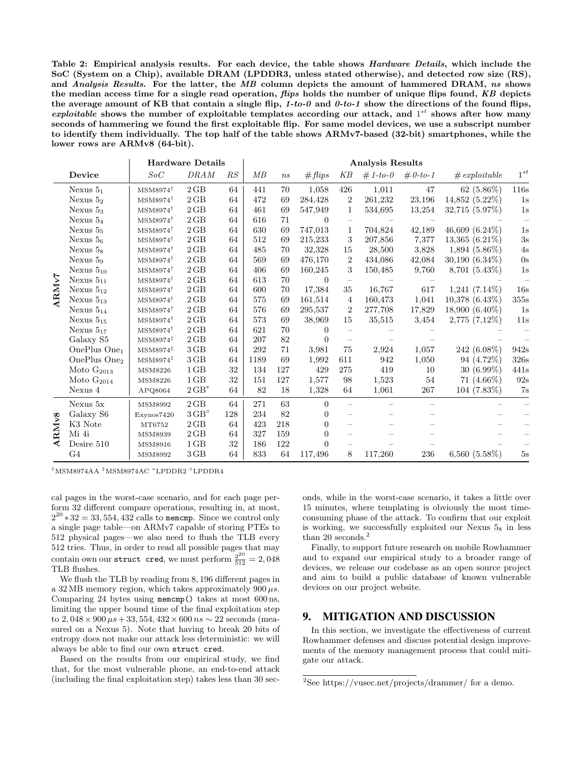Table 2: Empirical analysis results. For each device, the table shows *Hardware Details*, which include the SoC (System on a Chip), available DRAM (LPDDR3, unless stated otherwise), and detected row size (RS), and Analysis Results. For the latter, the MB column depicts the amount of hammered DRAM, ns shows the median access time for a single read operation, *flips* holds the number of unique flips found, KB depicts the average amount of KB that contain a single flip,  $1-to-0$  and  $0-to-1$  show the directions of the found flips, exploitable shows the number of exploitable templates according our attack, and  $1<sup>st</sup>$  shows after how many seconds of hammering we found the first exploitable flip. For same model devices, we use a subscript number to identify them individually. The top half of the table shows ARMv7-based (32-bit) smartphones, while the lower rows are ARMv8 (64-bit).

|              |                          | <b>Hardware Details</b> |                        |     | Analysis Results |     |          |                          |             |             |                      |                 |
|--------------|--------------------------|-------------------------|------------------------|-----|------------------|-----|----------|--------------------------|-------------|-------------|----------------------|-----------------|
|              | Device                   | SoC                     | DRAM                   | RS  | MB               | ns  | #flips   | KB                       | $\#$ 1-to-0 | $# 0$ -to-1 | # <i>exploitable</i> | $1^{st}$        |
| ARMv7        | Nexus $51$               | $MSM8974^{\dagger}$     | $2\,\mathrm{GB}$       | 64  | 441              | 70  | 1,058    | 426                      | 1,011       | 47          | 62 (5.86%)           | $116s$          |
|              | Nexus $52$               | $MSM8974^{\dagger}$     | $2\,\mathrm{GB}$       | 64  | 472              | 69  | 284,428  | 2                        | 261,232     | 23,196      | 14,852 (5.22%)       | 1s              |
|              | Nexus $53$               | $MSM8974^{\dagger}$     | $2\,\mathrm{GB}$       | 64  | 461              | 69  | 547,949  | $\mathbf{1}$             | 534,695     | 13,254      | 32,715 (5.97%)       | 1s              |
|              | Nexus $5_4$              | $MSM8974^{\dagger}$     | $2\,\mathrm{GB}$       | 64  | 616              | 71  | $\Omega$ |                          |             |             |                      |                 |
|              | Nexus $55$               | $MSM8974^{\dagger}$     | $2\,\mathrm{GB}$       | 64  | 630              | 69  | 747,013  | $\mathbf{1}$             | 704,824     | 42,189      | 46,609 $(6.24\%)$    | 1s              |
|              | Nexus $56$               | $MSM8974^{\dagger}$     | $2\,\mathrm{GB}$       | 64  | 512              | 69  | 215,233  | 3                        | 207,856     | 7,377       | $13,365(6.21\%)$     | $3\mathrm{s}$   |
|              | Nexus $58$               | $MSM8974^{\dagger}$     | $2\,\mathrm{GB}$       | 64  | 485              | 70  | 32,328   | 15                       | 28,500      | 3,828       | $1,894$ $(5.86\%)$   | $4s$            |
|              | Nexus 59                 | $MSM8974^{\dagger}$     | $2\,\mathrm{GB}$       | 64  | 569              | 69  | 476,170  | $\overline{2}$           | 434,086     | 42,084      | $30,190(6.34\%)$     | 0s              |
|              | Nexus $5_{10}$           | $MSM8974^{\dagger}$     | $2\,\text{GB}$         | 64  | 406              | 69  | 160,245  | 3                        | 150,485     | 9,760       | $8,701(5.43\%)$      | 1s              |
|              | Nexus $5_{11}$           | $MSM8974^{\dagger}$     | $2\,\mathrm{GB}$       | 64  | 613              | 70  | $\theta$ |                          |             |             |                      |                 |
|              | Nexus $5_{12}$           | $MSM8974^{\dagger}$     | $2\,\mathrm{GB}$       | 64  | 600              | 70  | 17,384   | 35                       | 16,767      | 617         | $1,241(7.14\%)$      | 16s             |
|              | Nexus $5_{13}$           | $MSM8974^{\dagger}$     | $2\,\mathrm{GB}$       | 64  | 575              | 69  | 161,514  | $\overline{4}$           | 160,473     | 1,041       | $10,378$ $(6.43\%)$  | $355\mathrm{s}$ |
|              | Nexus $5_{14}$           | $MSM8974^{\dagger}$     | $2\,\mathrm{GB}$       | 64  | 576              | 69  | 295,537  | $\overline{2}$           | 277,708     | 17,829      | $18,900(6.40\%)$     | 1s              |
|              | Nexus $5_{15}$           | $MSM8974^{\dagger}$     | $2\,\mathrm{GB}$       | 64  | 573              | 69  | 38,969   | 15                       | 35,515      | 3,454       | $2,775(7,12\%)$      | $11s$           |
|              | Nexus $5_{17}$           | $MSM8974^{\dagger}$     | $2\,\mathrm{GB}$       | 64  | 621              | 70  | $\Omega$ |                          |             |             |                      |                 |
|              | Galaxy S5                | $MSM8974$ <sup>‡</sup>  | $2\,\mathrm{GB}$       | 64  | 207              | 82  | $\Omega$ |                          |             |             |                      |                 |
|              | OnePlus One <sub>1</sub> | $MSM8974$ <sup>‡</sup>  | $3\,\mathrm{GB}$       | 64  | 292              | 71  | 3,981    | 75                       | 2,924       | 1,057       | 242 (6.08%)          | 942s            |
|              | OnePlus One <sub>2</sub> | $MSM8974$ <sup>‡</sup>  | $3\,\text{GB}$         | 64  | 1189             | 69  | 1,992    | 611                      | 942         | 1,050       | 94 (4.72%)           | 326s            |
|              | Moto $G_{2013}$          | MSM8226                 | $1\,\mathrm{GB}$       | 32  | 134              | 127 | 429      | 275                      | 419         | 10          | $30(6.99\%)$         | 441s            |
|              | Moto $G_{2014}$          | MSM8226                 | $1\,\mathrm{GB}$       | 32  | 151              | 127 | 1,577    | 98                       | 1,523       | 54          | $71(4.66\%)$         | 92s             |
|              | Nexus 4                  | APQ8064                 | $2\,\mathrm{GB}^*$     | 64  | 82               | 18  | 1,328    | 64                       | 1,061       | 267         | 104 (7.83%)          | 7s              |
| <b>ARMv8</b> | Nexus 5x                 | <b>MSM8992</b>          | $2\,\mathrm{GB}$       | 64  | 271              | 63  | $\Omega$ | $\overline{\phantom{0}}$ |             |             |                      |                 |
|              | Galaxy S <sub>6</sub>    | Exynos7420              | $3\,\mathrm{GB}^\circ$ | 128 | 234              | 82  | $\Omega$ |                          |             |             |                      |                 |
|              | K3 Note                  | MT6752                  | $2\,\text{GB}$         | 64  | 423              | 218 | $\Omega$ |                          |             |             |                      |                 |
|              | Mi 4i                    | MSM8939                 | $2\,\mathrm{GB}$       | 64  | 327              | 159 | $\Omega$ |                          |             |             |                      |                 |
|              | Desire 510               | <b>MSM8916</b>          | $1\,\mathrm{GB}$       | 32  | 186              | 122 | 0        |                          |             |             |                      |                 |
|              | G4                       | <b>MSM8992</b>          | $3\,\text{GB}$         | 64  | 833              | 64  | 117,496  | 8                        | 117,260     | 236         | $6,560$ $(5.58\%)$   | 5s              |

†MSM8974AA ‡MSM8974AC <sup>∗</sup>LPDDR2 ◦LPDDR4

cal pages in the worst-case scenario, and for each page perform 32 different compare operations, resulting in, at most,  $2^{20} * 32 = 33,554,432$  calls to memomp. Since we control only a single page table—on ARMv7 capable of storing PTEs to 512 physical pages—we also need to flush the TLB every 512 tries. Thus, in order to read all possible pages that may contain own our struct cred, we must perform  $\frac{2^{20}}{512} = 2,048$ TLB flushes.

We flush the TLB by reading from 8, 196 different pages in a 32 MB memory region, which takes approximately  $900 \,\mu s$ . Comparing 24 bytes using memcmp() takes at most 600 ns, limiting the upper bound time of the final exploitation step to 2, 048 × 900  $\mu$ s + 33, 554, 432 × 600 ns ∼ 22 seconds (measured on a Nexus 5). Note that having to break 20 bits of entropy does not make our attack less deterministic: we will always be able to find our own struct cred.

Based on the results from our empirical study, we find that, for the most vulnerable phone, an end-to-end attack (including the final exploitation step) takes less than 30 seconds, while in the worst-case scenario, it takes a little over 15 minutes, where templating is obviously the most timeconsuming phase of the attack. To confirm that our exploit is working, we successfully exploited our Nexus  $5<sub>8</sub>$  in less than 20 seconds.<sup>2</sup>

Finally, to support future research on mobile Rowhammer and to expand our empirical study to a broader range of devices, we release our codebase as an open source project and aim to build a public database of known vulnerable devices on our project website.

# 9. MITIGATION AND DISCUSSION

In this section, we investigate the effectiveness of current Rowhammer defenses and discuss potential design improvements of the memory management process that could mitigate our attack.

<sup>&</sup>lt;sup>2</sup>See https://vusec.net/projects/drammer/ for a demo.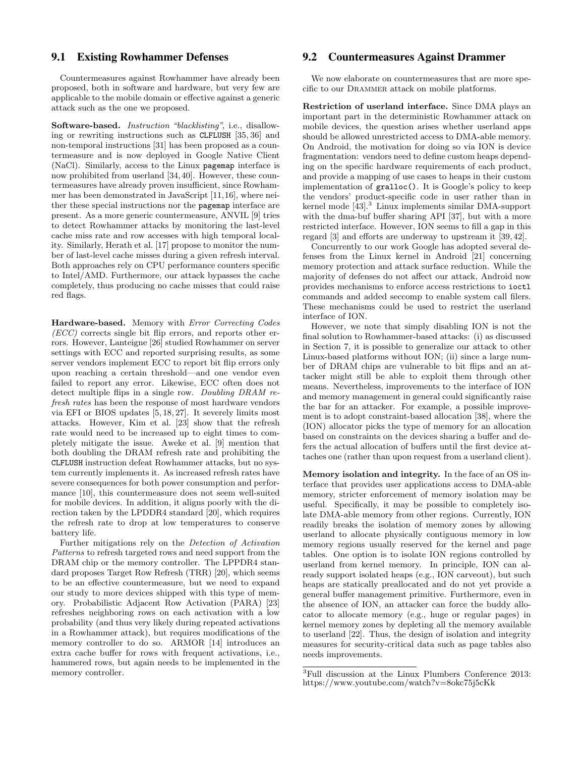## 9.1 Existing Rowhammer Defenses

Countermeasures against Rowhammer have already been proposed, both in software and hardware, but very few are applicable to the mobile domain or effective against a generic attack such as the one we proposed.

Software-based. Instruction "blacklisting", i.e., disallowing or rewriting instructions such as CLFLUSH [35, 36] and non-temporal instructions [31] has been proposed as a countermeasure and is now deployed in Google Native Client (NaCl). Similarly, access to the Linux pagemap interface is now prohibited from userland [34,40]. However, these countermeasures have already proven insufficient, since Rowhammer has been demonstrated in JavaScript [11,16], where neither these special instructions nor the pagemap interface are present. As a more generic countermeasure, ANVIL [9] tries to detect Rowhammer attacks by monitoring the last-level cache miss rate and row accesses with high temporal locality. Similarly, Herath et al. [17] propose to monitor the number of last-level cache misses during a given refresh interval. Both approaches rely on CPU performance counters specific to Intel/AMD. Furthermore, our attack bypasses the cache completely, thus producing no cache misses that could raise red flags.

Hardware-based. Memory with Error Correcting Codes (ECC) corrects single bit flip errors, and reports other errors. However, Lanteigne [26] studied Rowhammer on server settings with ECC and reported surprising results, as some server vendors implement ECC to report bit flip errors only upon reaching a certain threshold—and one vendor even failed to report any error. Likewise, ECC often does not detect multiple flips in a single row. Doubling DRAM refresh rates has been the response of most hardware vendors via EFI or BIOS updates [5, 18, 27]. It severely limits most attacks. However, Kim et al. [23] show that the refresh rate would need to be increased up to eight times to completely mitigate the issue. Aweke et al. [9] mention that both doubling the DRAM refresh rate and prohibiting the CLFLUSH instruction defeat Rowhammer attacks, but no system currently implements it. As increased refresh rates have severe consequences for both power consumption and performance [10], this countermeasure does not seem well-suited for mobile devices. In addition, it aligns poorly with the direction taken by the LPDDR4 standard [20], which requires the refresh rate to drop at low temperatures to conserve battery life.

Further mitigations rely on the Detection of Activation Patterns to refresh targeted rows and need support from the DRAM chip or the memory controller. The LPPDR4 standard proposes Target Row Refresh (TRR) [20], which seems to be an effective countermeasure, but we need to expand our study to more devices shipped with this type of memory. Probabilistic Adjacent Row Activation (PARA) [23] refreshes neighboring rows on each activation with a low probability (and thus very likely during repeated activations in a Rowhammer attack), but requires modifications of the memory controller to do so. ARMOR [14] introduces an extra cache buffer for rows with frequent activations, i.e., hammered rows, but again needs to be implemented in the memory controller.

# 9.2 Countermeasures Against Drammer

We now elaborate on countermeasures that are more specific to our Drammer attack on mobile platforms.

Restriction of userland interface. Since DMA plays an important part in the deterministic Rowhammer attack on mobile devices, the question arises whether userland apps should be allowed unrestricted access to DMA-able memory. On Android, the motivation for doing so via ION is device fragmentation: vendors need to define custom heaps depending on the specific hardware requirements of each product, and provide a mapping of use cases to heaps in their custom implementation of gralloc(). It is Google's policy to keep the vendors' product-specific code in user rather than in kernel mode [43].<sup>3</sup> Linux implements similar DMA-support with the dma-buf buffer sharing API [37], but with a more restricted interface. However, ION seems to fill a gap in this regard [3] and efforts are underway to upstream it [39, 42].

Concurrently to our work Google has adopted several defenses from the Linux kernel in Android [21] concerning memory protection and attack surface reduction. While the majority of defenses do not affect our attack, Android now provides mechanisms to enforce access restrictions to ioctl commands and added seccomp to enable system call filers. These mechanisms could be used to restrict the userland interface of ION.

However, we note that simply disabling ION is not the final solution to Rowhammer-based attacks: (i) as discussed in Section 7, it is possible to generalize our attack to other Linux-based platforms without ION; (ii) since a large number of DRAM chips are vulnerable to bit flips and an attacker might still be able to exploit them through other means. Nevertheless, improvements to the interface of ION and memory management in general could significantly raise the bar for an attacker. For example, a possible improvement is to adopt constraint-based allocation [38], where the (ION) allocator picks the type of memory for an allocation based on constraints on the devices sharing a buffer and defers the actual allocation of buffers until the first device attaches one (rather than upon request from a userland client).

Memory isolation and integrity. In the face of an OS interface that provides user applications access to DMA-able memory, stricter enforcement of memory isolation may be useful. Specifically, it may be possible to completely isolate DMA-able memory from other regions. Currently, ION readily breaks the isolation of memory zones by allowing userland to allocate physically contiguous memory in low memory regions usually reserved for the kernel and page tables. One option is to isolate ION regions controlled by userland from kernel memory. In principle, ION can already support isolated heaps (e.g., ION carveout), but such heaps are statically preallocated and do not yet provide a general buffer management primitive. Furthermore, even in the absence of ION, an attacker can force the buddy allocator to allocate memory (e.g., huge or regular pages) in kernel memory zones by depleting all the memory available to userland [22]. Thus, the design of isolation and integrity measures for security-critical data such as page tables also needs improvements.

<sup>3</sup>Full discussion at the Linux Plumbers Conference 2013: https://www.youtube.com/watch?v=8okc75j5cKk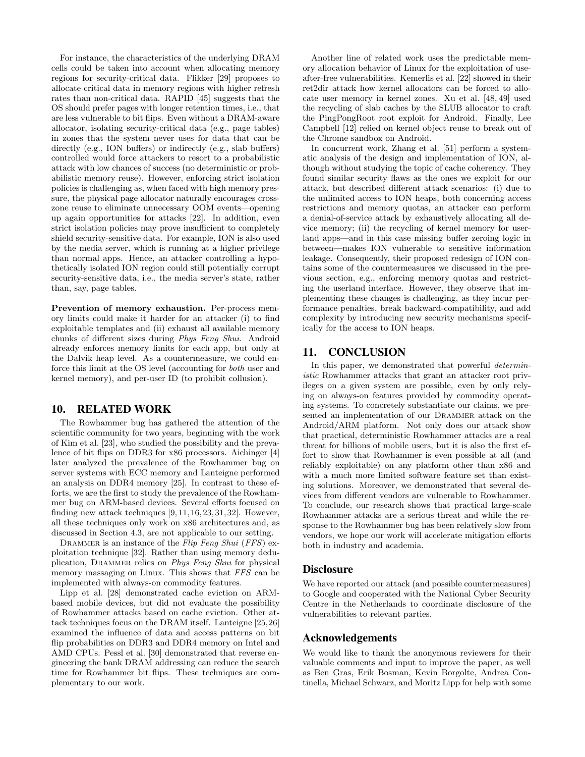For instance, the characteristics of the underlying DRAM cells could be taken into account when allocating memory regions for security-critical data. Flikker [29] proposes to allocate critical data in memory regions with higher refresh rates than non-critical data. RAPID [45] suggests that the OS should prefer pages with longer retention times, i.e., that are less vulnerable to bit flips. Even without a DRAM-aware allocator, isolating security-critical data (e.g., page tables) in zones that the system never uses for data that can be directly (e.g., ION buffers) or indirectly (e.g., slab buffers) controlled would force attackers to resort to a probabilistic attack with low chances of success (no deterministic or probabilistic memory reuse). However, enforcing strict isolation policies is challenging as, when faced with high memory pressure, the physical page allocator naturally encourages crosszone reuse to eliminate unnecessary OOM events—opening up again opportunities for attacks [22]. In addition, even strict isolation policies may prove insufficient to completely shield security-sensitive data. For example, ION is also used by the media server, which is running at a higher privilege than normal apps. Hence, an attacker controlling a hypothetically isolated ION region could still potentially corrupt security-sensitive data, i.e., the media server's state, rather than, say, page tables.

Prevention of memory exhaustion. Per-process memory limits could make it harder for an attacker (i) to find exploitable templates and (ii) exhaust all available memory chunks of different sizes during Phys Feng Shui. Android already enforces memory limits for each app, but only at the Dalvik heap level. As a countermeasure, we could enforce this limit at the OS level (accounting for both user and kernel memory), and per-user ID (to prohibit collusion).

## 10. RELATED WORK

The Rowhammer bug has gathered the attention of the scientific community for two years, beginning with the work of Kim et al. [23], who studied the possibility and the prevalence of bit flips on DDR3 for x86 processors. Aichinger [4] later analyzed the prevalence of the Rowhammer bug on server systems with ECC memory and Lanteigne performed an analysis on DDR4 memory [25]. In contrast to these efforts, we are the first to study the prevalence of the Rowhammer bug on ARM-based devices. Several efforts focused on finding new attack techniques [9, 11, 16, 23, 31, 32]. However, all these techniques only work on x86 architectures and, as discussed in Section 4.3, are not applicable to our setting.

DRAMMER is an instance of the Flip Feng Shui (FFS) exploitation technique [32]. Rather than using memory deduplication, Drammer relies on Phys Feng Shui for physical memory massaging on Linux. This shows that FFS can be implemented with always-on commodity features.

Lipp et al. [28] demonstrated cache eviction on ARMbased mobile devices, but did not evaluate the possibility of Rowhammer attacks based on cache eviction. Other attack techniques focus on the DRAM itself. Lanteigne [25,26] examined the influence of data and access patterns on bit flip probabilities on DDR3 and DDR4 memory on Intel and AMD CPUs. Pessl et al. [30] demonstrated that reverse engineering the bank DRAM addressing can reduce the search time for Rowhammer bit flips. These techniques are complementary to our work.

Another line of related work uses the predictable memory allocation behavior of Linux for the exploitation of useafter-free vulnerabilities. Kemerlis et al. [22] showed in their ret2dir attack how kernel allocators can be forced to allocate user memory in kernel zones. Xu et al. [48, 49] used the recycling of slab caches by the SLUB allocator to craft the PingPongRoot root exploit for Android. Finally, Lee Campbell [12] relied on kernel object reuse to break out of the Chrome sandbox on Android.

In concurrent work, Zhang et al. [51] perform a systematic analysis of the design and implementation of ION, although without studying the topic of cache coherency. They found similar security flaws as the ones we exploit for our attack, but described different attack scenarios: (i) due to the unlimited access to ION heaps, both concerning access restrictions and memory quotas, an attacker can perform a denial-of-service attack by exhaustively allocating all device memory; (ii) the recycling of kernel memory for userland apps—and in this case missing buffer zeroing logic in between—makes ION vulnerable to sensitive information leakage. Consequently, their proposed redesign of ION contains some of the countermeasures we discussed in the previous section, e.g., enforcing memory quotas and restricting the userland interface. However, they observe that implementing these changes is challenging, as they incur performance penalties, break backward-compatibility, and add complexity by introducing new security mechanisms specifically for the access to ION heaps.

# 11. CONCLUSION

In this paper, we demonstrated that powerful *determin*istic Rowhammer attacks that grant an attacker root privileges on a given system are possible, even by only relying on always-on features provided by commodity operating systems. To concretely substantiate our claims, we presented an implementation of our DRAMMER attack on the Android/ARM platform. Not only does our attack show that practical, deterministic Rowhammer attacks are a real threat for billions of mobile users, but it is also the first effort to show that Rowhammer is even possible at all (and reliably exploitable) on any platform other than x86 and with a much more limited software feature set than existing solutions. Moreover, we demonstrated that several devices from different vendors are vulnerable to Rowhammer. To conclude, our research shows that practical large-scale Rowhammer attacks are a serious threat and while the response to the Rowhammer bug has been relatively slow from vendors, we hope our work will accelerate mitigation efforts both in industry and academia.

#### **Disclosure**

We have reported our attack (and possible countermeasures) to Google and cooperated with the National Cyber Security Centre in the Netherlands to coordinate disclosure of the vulnerabilities to relevant parties.

#### Acknowledgements

We would like to thank the anonymous reviewers for their valuable comments and input to improve the paper, as well as Ben Gras, Erik Bosman, Kevin Borgolte, Andrea Continella, Michael Schwarz, and Moritz Lipp for help with some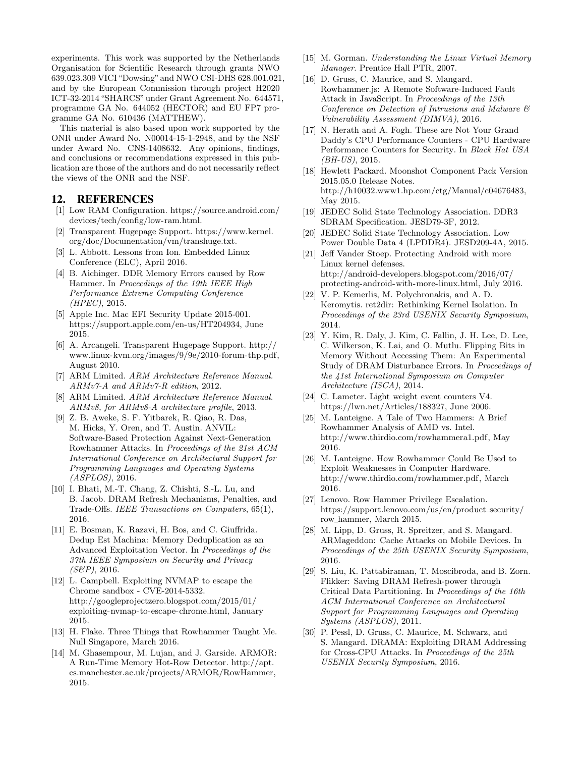experiments. This work was supported by the Netherlands Organisation for Scientific Research through grants NWO 639.023.309 VICI"Dowsing"and NWO CSI-DHS 628.001.021, and by the European Commission through project H2020 ICT-32-2014"SHARCS"under Grant Agreement No. 644571, programme GA No. 644052 (HECTOR) and EU FP7 programme GA No. 610436 (MATTHEW).

This material is also based upon work supported by the ONR under Award No. N00014-15-1-2948, and by the NSF under Award No. CNS-1408632. Any opinions, findings, and conclusions or recommendations expressed in this publication are those of the authors and do not necessarily reflect the views of the ONR and the NSF.

## 12. REFERENCES

- [1] Low RAM Configuration. https://source.android.com/ devices/tech/config/low-ram.html.
- [2] Transparent Hugepage Support. https://www.kernel. org/doc/Documentation/vm/transhuge.txt.
- [3] L. Abbott. Lessons from Ion. Embedded Linux Conference (ELC), April 2016.
- [4] B. Aichinger. DDR Memory Errors caused by Row Hammer. In Proceedings of the 19th IEEE High Performance Extreme Computing Conference (HPEC), 2015.
- [5] Apple Inc. Mac EFI Security Update 2015-001. https://support.apple.com/en-us/HT204934, June 2015.
- [6] A. Arcangeli. Transparent Hugepage Support. http:// www.linux-kvm.org/images/9/9e/2010-forum-thp.pdf, August 2010.
- [7] ARM Limited. ARM Architecture Reference Manual. ARMv7-A and ARMv7-R edition, 2012.
- [8] ARM Limited. ARM Architecture Reference Manual. ARMv8, for ARMv8-A architecture profile, 2013.
- [9] Z. B. Aweke, S. F. Yitbarek, R. Qiao, R. Das, M. Hicks, Y. Oren, and T. Austin. ANVIL: Software-Based Protection Against Next-Generation Rowhammer Attacks. In Proceedings of the 21st ACM International Conference on Architectural Support for Programming Languages and Operating Systems (ASPLOS), 2016.
- [10] I. Bhati, M.-T. Chang, Z. Chishti, S.-L. Lu, and B. Jacob. DRAM Refresh Mechanisms, Penalties, and Trade-Offs. IEEE Transactions on Computers, 65(1), 2016.
- [11] E. Bosman, K. Razavi, H. Bos, and C. Giuffrida. Dedup Est Machina: Memory Deduplication as an Advanced Exploitation Vector. In Proceedings of the 37th IEEE Symposium on Security and Privacy  $(SBP)$ , 2016.
- [12] L. Campbell. Exploiting NVMAP to escape the Chrome sandbox - CVE-2014-5332. http://googleprojectzero.blogspot.com/2015/01/ exploiting-nvmap-to-escape-chrome.html, January 2015.
- [13] H. Flake. Three Things that Rowhammer Taught Me. Null Singapore, March 2016.
- [14] M. Ghasempour, M. Lujan, and J. Garside. ARMOR: A Run-Time Memory Hot-Row Detector. http://apt. cs.manchester.ac.uk/projects/ARMOR/RowHammer, 2015.
- [15] M. Gorman. Understanding the Linux Virtual Memory Manager. Prentice Hall PTR, 2007.
- [16] D. Gruss, C. Maurice, and S. Mangard. Rowhammer.js: A Remote Software-Induced Fault Attack in JavaScript. In Proceedings of the 13th Conference on Detection of Intrusions and Malware & Vulnerability Assessment (DIMVA), 2016.
- [17] N. Herath and A. Fogh. These are Not Your Grand Daddy's CPU Performance Counters - CPU Hardware Performance Counters for Security. In Black Hat USA  $(BH-US)$ , 2015.
- [18] Hewlett Packard. Moonshot Component Pack Version 2015.05.0 Release Notes. http://h10032.www1.hp.com/ctg/Manual/c04676483, May 2015.
- [19] JEDEC Solid State Technology Association. DDR3 SDRAM Specification. JESD79-3F, 2012.
- [20] JEDEC Solid State Technology Association. Low Power Double Data 4 (LPDDR4). JESD209-4A, 2015.
- [21] Jeff Vander Stoep. Protecting Android with more Linux kernel defenses. http://android-developers.blogspot.com/2016/07/ protecting-android-with-more-linux.html, July 2016.
- [22] V. P. Kemerlis, M. Polychronakis, and A. D. Keromytis. ret2dir: Rethinking Kernel Isolation. In Proceedings of the 23rd USENIX Security Symposium, 2014.
- [23] Y. Kim, R. Daly, J. Kim, C. Fallin, J. H. Lee, D. Lee, C. Wilkerson, K. Lai, and O. Mutlu. Flipping Bits in Memory Without Accessing Them: An Experimental Study of DRAM Disturbance Errors. In Proceedings of the 41st International Symposium on Computer Architecture (ISCA), 2014.
- [24] C. Lameter. Light weight event counters V4. https://lwn.net/Articles/188327, June 2006.
- [25] M. Lanteigne. A Tale of Two Hammers: A Brief Rowhammer Analysis of AMD vs. Intel. http://www.thirdio.com/rowhammera1.pdf, May 2016.
- [26] M. Lanteigne. How Rowhammer Could Be Used to Exploit Weaknesses in Computer Hardware. http://www.thirdio.com/rowhammer.pdf, March 2016.
- [27] Lenovo. Row Hammer Privilege Escalation. https://support.lenovo.com/us/en/product security/ row hammer, March 2015.
- [28] M. Lipp, D. Gruss, R. Spreitzer, and S. Mangard. ARMageddon: Cache Attacks on Mobile Devices. In Proceedings of the 25th USENIX Security Symposium, 2016.
- [29] S. Liu, K. Pattabiraman, T. Moscibroda, and B. Zorn. Flikker: Saving DRAM Refresh-power through Critical Data Partitioning. In Proceedings of the 16th ACM International Conference on Architectural Support for Programming Languages and Operating Systems (ASPLOS), 2011.
- [30] P. Pessl, D. Gruss, C. Maurice, M. Schwarz, and S. Mangard. DRAMA: Exploiting DRAM Addressing for Cross-CPU Attacks. In Proceedings of the 25th USENIX Security Symposium, 2016.